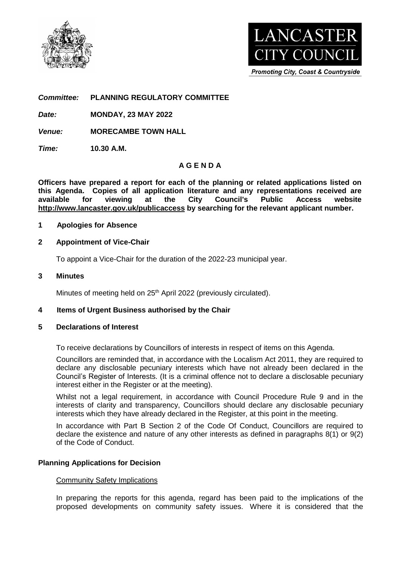



**Promoting City, Coast & Countryside** 

*Committee:* **PLANNING REGULATORY COMMITTEE**

*Date:* **MONDAY, 23 MAY 2022**

*Venue:* **MORECAMBE TOWN HALL**

*Time:* **10.30 A.M.**

# **A G E N D A**

**Officers have prepared a report for each of the planning or related applications listed on this Agenda. Copies of all application literature and any representations received are available for viewing at the City Council's Public Access website <http://www.lancaster.gov.uk/publicaccess> by searching for the relevant applicant number.** 

### **1 Apologies for Absence**

### **2 Appointment of Vice-Chair**

To appoint a Vice-Chair for the duration of the 2022-23 municipal year.

### **3 Minutes**

Minutes of meeting held on 25<sup>th</sup> April 2022 (previously circulated).

#### **4 Items of Urgent Business authorised by the Chair**

#### **5 Declarations of Interest**

To receive declarations by Councillors of interests in respect of items on this Agenda.

Councillors are reminded that, in accordance with the Localism Act 2011, they are required to declare any disclosable pecuniary interests which have not already been declared in the Council's Register of Interests. (It is a criminal offence not to declare a disclosable pecuniary interest either in the Register or at the meeting).

Whilst not a legal requirement, in accordance with Council Procedure Rule 9 and in the interests of clarity and transparency, Councillors should declare any disclosable pecuniary interests which they have already declared in the Register, at this point in the meeting.

In accordance with Part B Section 2 of the Code Of Conduct, Councillors are required to declare the existence and nature of any other interests as defined in paragraphs 8(1) or 9(2) of the Code of Conduct.

# **Planning Applications for Decision**

#### Community Safety Implications

In preparing the reports for this agenda, regard has been paid to the implications of the proposed developments on community safety issues. Where it is considered that the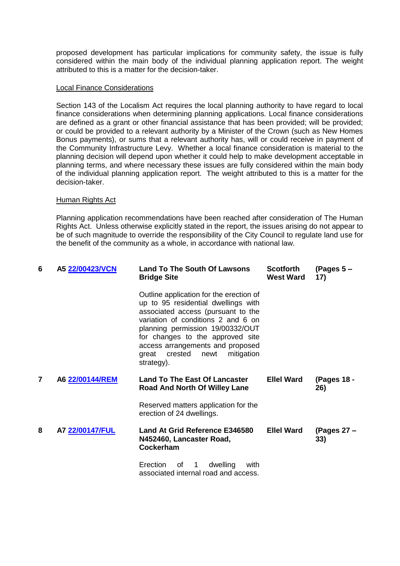proposed development has particular implications for community safety, the issue is fully considered within the main body of the individual planning application report. The weight attributed to this is a matter for the decision-taker.

#### Local Finance Considerations

Section 143 of the Localism Act requires the local planning authority to have regard to local finance considerations when determining planning applications. Local finance considerations are defined as a grant or other financial assistance that has been provided; will be provided; or could be provided to a relevant authority by a Minister of the Crown (such as New Homes Bonus payments), or sums that a relevant authority has, will or could receive in payment of the Community Infrastructure Levy. Whether a local finance consideration is material to the planning decision will depend upon whether it could help to make development acceptable in planning terms, and where necessary these issues are fully considered within the main body of the individual planning application report. The weight attributed to this is a matter for the decision-taker.

#### Human Rights Act

Planning application recommendations have been reached after consideration of The Human Rights Act. Unless otherwise explicitly stated in the report, the issues arising do not appear to be of such magnitude to override the responsibility of the City Council to regulate land use for the benefit of the community as a whole, in accordance with national law.

| 6 | A5 22/00423/VCN | <b>Land To The South Of Lawsons</b><br><b>Bridge Site</b>                                                                                                                                                                                                                                                                      | <b>Scotforth</b><br><b>West Ward</b> | (Pages $5 -$<br>17)  |
|---|-----------------|--------------------------------------------------------------------------------------------------------------------------------------------------------------------------------------------------------------------------------------------------------------------------------------------------------------------------------|--------------------------------------|----------------------|
|   |                 | Outline application for the erection of<br>up to 95 residential dwellings with<br>associated access (pursuant to the<br>variation of conditions 2 and 6 on<br>planning permission 19/00332/OUT<br>for changes to the approved site<br>access arrangements and proposed<br>mitigation<br>crested<br>newt<br>great<br>strategy). |                                      |                      |
| 7 | A6 22/00144/REM | <b>Land To The East Of Lancaster</b><br><b>Road And North Of Willey Lane</b>                                                                                                                                                                                                                                                   | <b>Ellel Ward</b>                    | (Pages 18 -<br>26)   |
|   |                 | Reserved matters application for the<br>erection of 24 dwellings.                                                                                                                                                                                                                                                              |                                      |                      |
| 8 | A7 22/00147/FUL | Land At Grid Reference E346580<br>N452460, Lancaster Road,<br>Cockerham                                                                                                                                                                                                                                                        | <b>Ellel Ward</b>                    | (Pages $27 -$<br>33) |
|   |                 | <b>Erection</b><br>dwelling<br>0f<br>with<br>1<br>associated internal road and access.                                                                                                                                                                                                                                         |                                      |                      |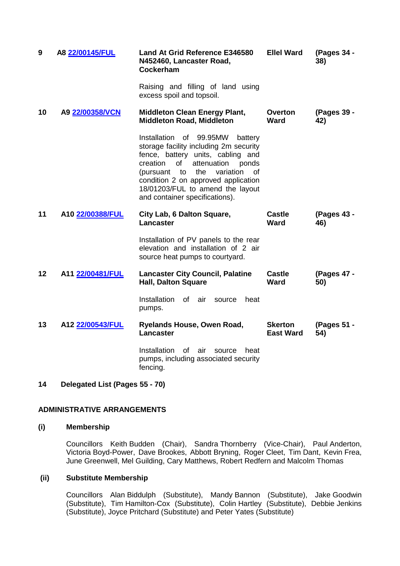| 9  | A8 22/00145/FUL  | <b>Land At Grid Reference E346580</b><br>N452460, Lancaster Road,<br>Cockerham                                                                                                                                                                                                                                               | <b>Ellel Ward</b>                  | (Pages 34 -<br>38) |
|----|------------------|------------------------------------------------------------------------------------------------------------------------------------------------------------------------------------------------------------------------------------------------------------------------------------------------------------------------------|------------------------------------|--------------------|
|    |                  | Raising and filling of land using<br>excess spoil and topsoil.                                                                                                                                                                                                                                                               |                                    |                    |
| 10 | A9 22/00358/VCN  | <b>Middleton Clean Energy Plant,</b><br><b>Middleton Road, Middleton</b>                                                                                                                                                                                                                                                     | <b>Overton</b><br><b>Ward</b>      | (Pages 39 -<br>42) |
|    |                  | Installation of 99.95MW<br>battery<br>storage facility including 2m security<br>fence, battery units, cabling and<br>creation<br>of<br>attenuation<br>ponds<br>variation<br>to<br>the<br><b>of</b><br>(pursuant<br>condition 2 on approved application<br>18/01203/FUL to amend the layout<br>and container specifications). |                                    |                    |
| 11 | A10 22/00388/FUL | City Lab, 6 Dalton Square,<br>Lancaster                                                                                                                                                                                                                                                                                      | <b>Castle</b><br><b>Ward</b>       | (Pages 43 -<br>46) |
|    |                  | Installation of PV panels to the rear<br>elevation and installation of 2 air<br>source heat pumps to courtyard.                                                                                                                                                                                                              |                                    |                    |
| 12 | A11 22/00481/FUL | <b>Lancaster City Council, Palatine</b><br><b>Hall, Dalton Square</b>                                                                                                                                                                                                                                                        | <b>Castle</b><br><b>Ward</b>       | (Pages 47 -<br>50) |
|    |                  | <b>Installation</b><br>of<br>air<br>heat<br>source<br>pumps.                                                                                                                                                                                                                                                                 |                                    |                    |
| 13 | A12 22/00543/FUL | Ryelands House, Owen Road,<br><b>Lancaster</b>                                                                                                                                                                                                                                                                               | <b>Skerton</b><br><b>East Ward</b> | (Pages 51 -<br>54) |
|    |                  | Installation<br>0f<br>air<br>source<br>heat<br>pumps, including associated security<br>fencing.                                                                                                                                                                                                                              |                                    |                    |

# **14 Delegated List (Pages 55 - 70)**

# **ADMINISTRATIVE ARRANGEMENTS**

### **(i) Membership**

Councillors Keith Budden (Chair), Sandra Thornberry (Vice-Chair), Paul Anderton, Victoria Boyd-Power, Dave Brookes, Abbott Bryning, Roger Cleet, Tim Dant, Kevin Frea, June Greenwell, Mel Guilding, Cary Matthews, Robert Redfern and Malcolm Thomas

## **(ii) Substitute Membership**

Councillors Alan Biddulph (Substitute), Mandy Bannon (Substitute), Jake Goodwin (Substitute), Tim Hamilton-Cox (Substitute), Colin Hartley (Substitute), Debbie Jenkins (Substitute), Joyce Pritchard (Substitute) and Peter Yates (Substitute)